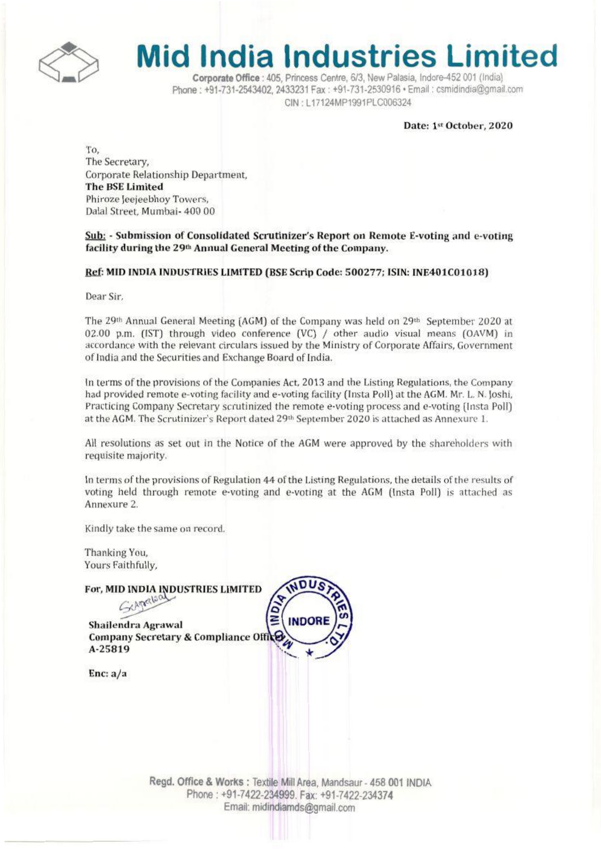

# **Mid India Industries Limited**

Corporate Office : 405, Princess Centre, 6/3, New Palasia, Indore-452 001 (India) Phone: +91-731-2543402, 2433231 Fax: +91-731-2530916 · Email: csmidindia@omail.com CIN: L17124MP1991PLC006324

Date: 1st October, 2020

To. The Secretary, Corporate Relationship Department. **The BSE Limited** Phiroze Jeejeebhov Towers. Dalal Street, Mumbai- 400 00

Sub: - Submission of Consolidated Scrutinizer's Report on Remote E-voting and e-voting facility during the 29th Annual General Meeting of the Company.

Ref: MID INDIA INDUSTRIES LIMITED (BSE Scrip Code: 500277; ISIN: INE401C01018)

Dear Sir.

The 29<sup>th</sup> Annual General Meeting (AGM) of the Company was held on 29<sup>th</sup> September 2020 at 02.00 p.m. (IST) through video conference (VC) / other audio visual means (OAVM) in accordance with the relevant circulars issued by the Ministry of Corporate Affairs, Government of India and the Securities and Exchange Board of India.

In terms of the provisions of the Companies Act, 2013 and the Listing Regulations, the Company had provided remote e-voting facility and e-voting facility (Insta Poll) at the AGM. Mr. L. N. Joshi, Practicing Company Secretary scrutinized the remote e-voting process and e-voting (Insta Poll) at the AGM. The Scrutinizer's Report dated 29th September 2020 is attached as Annexure 1.

All resolutions as set out in the Notice of the AGM were approved by the shareholders with requisite majority.

In terms of the provisions of Regulation 44 of the Listing Regulations, the details of the results of voting held through remote e-voting and e-voting at the AGM (Insta Poll) is attached as Annexure 2.

Kindly take the same on record.

Thanking You, Yours Faithfully,

| For, MID INDIA INDUSTRIES LIMITED<br>CAPARLOOL   |              |
|--------------------------------------------------|--------------|
| Shailendra Agrawal                               | <b>INDOR</b> |
| Company Secretary & Compliance Office<br>A-25819 |              |
|                                                  |              |

Enc:  $a/a$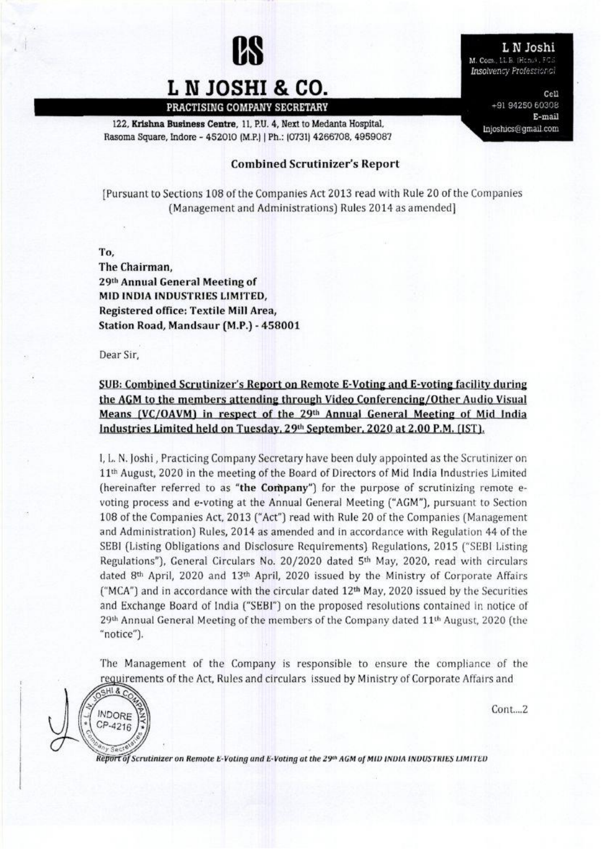

# L **N JOSHI & CO.**

122. Krishna Business Centre. 11, P.U. 4, Next to Medanta Hospital. Rasoma Square, Indore - 452010 (M.P.) | Ph.: (0731) 4266708, 4959087

### Combined Scrutinizer's Report

[Pursuant to Sections 108 of the Companies Act 2013 read with Rule 20 of the Companies (Management and Administrations) Rules 2014 as amended]

 $T_0$ ,

The Chairman, 29th Annual General Meeting of MID INDIA INDUSTRIES LIMITED, Registered office: Textile Mill Area, Station Road, Mandsaur (M.P.) - 450001

Dear Sir,

### SUB: Combined Scrutinizer's Report on Remote E-Voting and E-voting facility during the AGM to the members attending through Video Conferencing/Other Audio Visual Means (VC/OAVM) in respect of the 29th Annual General Meeting of Mid India Industries Limited held on Tuesday, 29<sup>th</sup> September, 2020 at 2.00 P.M. [IST].

I, L. N. Joshi, Practicing Cornpany Secretary have been duly appointed as the Scrutinizer on  $11<sup>th</sup>$  August, 2020 in the meeting of the Board of Directors of Mid India Industries Limited (hereinafter referred to as "the Company") for the purpose of scrutinizing remote evoting process and e-voting at the Annual General Meeting ("AGM"), pursuant to Section 108 of the Companies Act. 2013 ("Act") read with Rule 20 of the Companies (Management and Administration) Rules, 2014 as amended and in accordance with Regulation 44 of the SEBI (Listing Obligations and Disclosure Requirements) Regulations, 2015 ("SEBI Listing Regulations"), General Circulars No. 20/2020 dated 5<sup>th</sup> May, 2020, read with circulars dated 8th April, 2020 and 13th April, 2020 issued by the Ministry of Corporate Affairs ("MCA") and in accordance with the circular dated 12<sup>th</sup> May, 2020 issued by the Securities and Exchange Board of India ("SEBI") on the proposed resolutions contained in notice of  $29<sup>th</sup>$  Annual General Meeting of the members of the Company dated  $11<sup>th</sup>$  August, 2020 (the "notice").

The Management of the Company is responsible to ensure the compliance of the requirements of the Act, Rules and circulars issued by Ministry of Corporate Affairs and

 $GHI8$ **INDORE** CP-4216

 $Cont. . . . 2$ 

Report of Scrutinizer on Remote E-Voting and E-Voting at the 29th AGM of MID INDIA INDUSTRIES LIMITED

L N Joshi M. Com., LL B. (Hens), FCS

**Insolvency Professional**  $Ce11$ 

+91 94250 60308  $E$ -mail Injoshics@gmail.com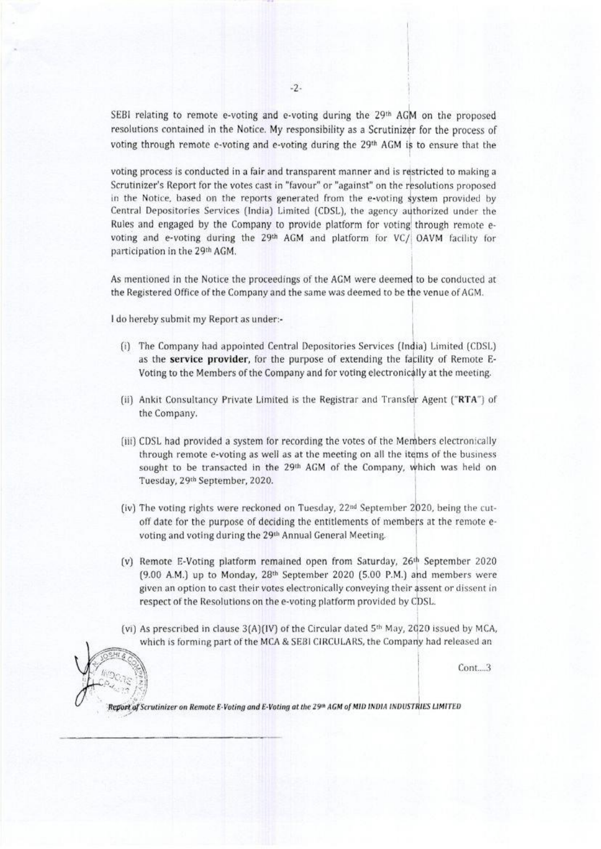SEBI relating to remote e-voting and e-voting during the 29th AGM on the proposed resolutions contained in the Notice. My responsibility as a Scrutinizer for the process of voting through remote e-voting and e-voting during the 29th AGM is to ensure that the

voting process is conducted in a fair and transparent manner and is restricted to making a Scrutinizer's Report for the votes cast in "favour" or "against" on the resolutions proposed in the Notice, based on the reports generated from the e-voting system provided by Central Depositories Services (India) Limited (CDSL), the agency authorized under the Rules and engaged by the Company to provide platform for voting through remote evoting and e-voting during the 29th AGM and platform for VC/ OAVM facility for participation in the 29th AGM.

As mentioned in the Notice the proceedings of the AGM were deemed to be conducted at the Registered Office of the Company and the same was deemed to be the venue of AGM.

I do hereby submit my Report as under:-

- (i) The Company had appointed Central Depositories Services (India) Limited (CDSL) as the service provider, for the purpose of extending the facility of Remote E-Voting to the Members of the Company and for voting electronically at the meeting.
- (ii) Ankit Consultancy Private Limited is the Registrar and Transfer Agent ("RTA") of the Company.
- (iii) CDSL had provided a system for recording the votes of the Members electronically through remote e-voting as well as at the meeting on all the items of the business sought to be transacted in the 29th AGM of the Company, which was held on Tuesday, 29th September, 2020.
- (iv) The voting rights were reckoned on Tuesday, 22<sup>nd</sup> September 2020, being the cutoff date for the purpose of deciding the entitlements of members at the remote evoting and voting during the 29th Annual General Meeting.
- (v) Remote E-Voting platform remained open from Saturday, 26th September 2020 (9.00 A.M.) up to Monday, 28<sup>th</sup> September 2020 (5.00 P.M.) and members were given an option to cast their votes electronically conveying their assent or dissent in respect of the Resolutions on the e-voting platform provided by CDSL.
- (vi) As prescribed in clause 3(A)(IV) of the Circular dated 5<sup>th</sup> May, 2020 issued by MCA, which is forming part of the MCA & SEBI CIRCULARS, the Company had released an

Cont...3

Report of Scrutinizer on Remote E-Voting and E-Voting at the 29th AGM of MID INDIA INDUSTRIES LIMITED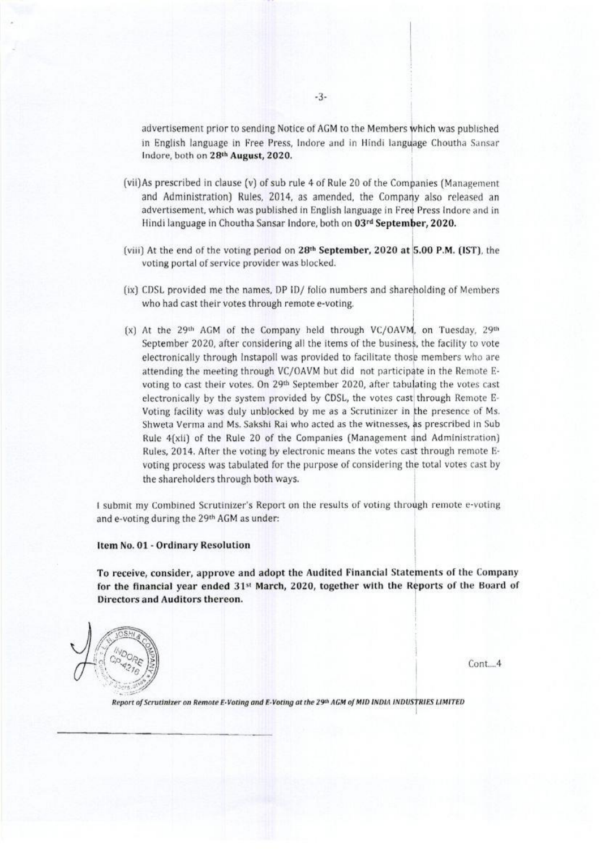advertisement prior to sending Notice of AGM to the Members which was published in English language in Free Press, Indore and in Hindi language Choutha Sansar Indore, both on 28th August, 2020.

- (vii) As prescribed in clause (v) of sub rule 4 of Rule 20 of the Companies (Management and Administration) Rules, 2014, as amended, the Company also released an advertisement, which was published in English language in Free Press Indore and in Hindi language in Choutha Sansar Indore, both on 03rd September, 2020.
- (viii) At the end of the voting period on 28<sup>th</sup> September, 2020 at 5.00 P.M. (IST), the voting portal of service provider was blocked.
- (ix) CDSL provided me the names, DP ID/ folio numbers and shareholding of Members who had cast their votes through remote e-voting.
- (x) At the 29th AGM of the Company held through VC/OAVM, on Tuesday, 29th September 2020, after considering all the items of the business, the facility to vote electronically through Instapoll was provided to facilitate those members who are attending the meeting through VC/OAVM but did not participate in the Remote Evoting to cast their votes. On 29<sup>th</sup> September 2020, after tabulating the votes cast electronically by the system provided by CDSL, the votes cast through Remote E-Voting facility was duly unblocked by me as a Scrutinizer in the presence of Ms. Shweta Verma and Ms. Sakshi Rai who acted as the witnesses, as prescribed in Sub Rule 4(xii) of the Rule 20 of the Companies (Management and Administration) Rules, 2014. After the voting by electronic means the votes cast through remote Evoting process was tabulated for the purpose of considering the total votes cast by the shareholders through both ways.

I submit my Combined Scrutinizer's Report on the results of voting through remote e-voting and e-voting during the 29th AGM as under:

#### Item No. 01 - Ordinary Resolution

To receive, consider, approve and adopt the Audited Financial Statements of the Company for the financial year ended  $31st$  March, 2020, together with the Reports of the Board of Directors and Auditors thereon.



 $Cont. 4$ 

Report of Scrutinizer on Remote E-Voting and E-Voting at the 29th AGM of MID INDIA INDUSTRIES LIMITED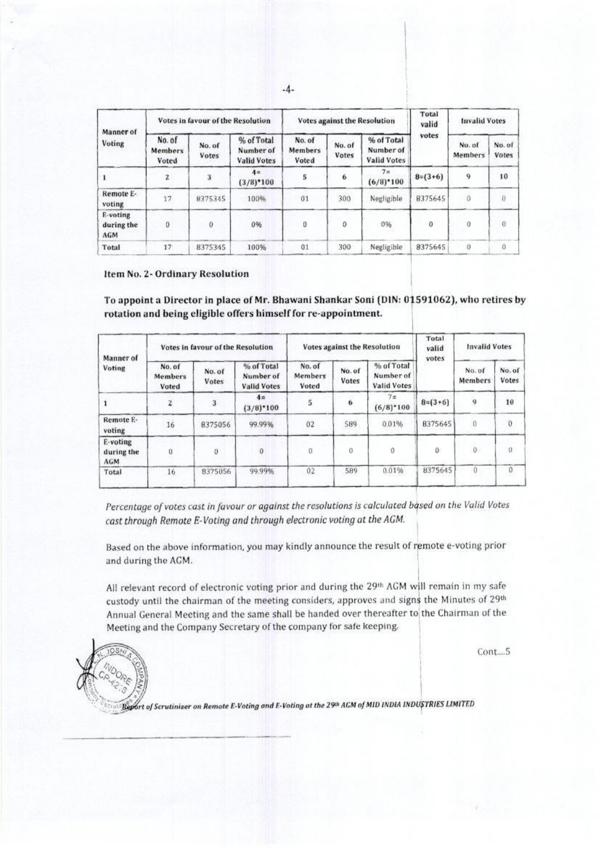| Manner of<br>Voting           |                                   | Votes in favour of the Resolution |                                               |                                   |                 | <b>Votes against the Resolution</b>           | Total<br>valid | <b>Invalid Votes</b>     |                        |
|-------------------------------|-----------------------------------|-----------------------------------|-----------------------------------------------|-----------------------------------|-----------------|-----------------------------------------------|----------------|--------------------------|------------------------|
|                               | No. of<br><b>Members</b><br>Voted | No. of<br>Votes                   | % of Total<br>Number of<br><b>Valid Votes</b> | No. of<br><b>Members</b><br>Voted | No. of<br>Votes | % of Total<br>Number of<br><b>Valid Votes</b> | votes          | No. of<br><b>Members</b> | No. of<br><b>Votes</b> |
|                               | 2                                 | 3                                 | $4 =$<br>$(3/8)$ <sup>*</sup> 100             | 5                                 | 6               | 7 <sub>m</sub><br>$(6/8)^*100$                | $8=(3+6)$      | 9                        | 10                     |
| Remote E-<br>voting           | 17                                | 8375345                           | 100%                                          | 01                                | 300             | Negligible                                    | 8375645        |                          | $\theta$               |
| E-voting<br>during the<br>AGM | 0                                 | $\theta$                          | 0%                                            | o                                 | 0               | 0%                                            | $\theta$       | 0                        | 0                      |
| Total                         | 17                                | 8375345                           | 100%                                          | 01                                | 300             | Negligible <sup>®</sup>                       | 8375645        | a                        | 0                      |

Item No. 2- Ordinary Resolution

To appoint a Director in place of Mr. Bhawani Shankar Soni (DIN: 01591062), who retires by rotation and being eligible offers himself for re-appointment.

| Manner of<br>Voting                  |                                   | Votes in favour of the Resolution |                                               |                            |                 | Votes against the Resolution           | Total<br>valid<br>votes | <b>Invalid Votes</b> |                        |
|--------------------------------------|-----------------------------------|-----------------------------------|-----------------------------------------------|----------------------------|-----------------|----------------------------------------|-------------------------|----------------------|------------------------|
|                                      | No. of<br><b>Members</b><br>Voted | No. of<br>Votes                   | % of Total<br>Number of<br><b>Valid Votes</b> | No. of<br>Members<br>Voted | No. of<br>Votes | % of Total<br>Number of<br>Valid Votes |                         | No. of<br>Members    | No. of<br><b>Votes</b> |
|                                      | $\bar{z}$                         | 3                                 | $4 =$<br>$(3/8)$ *100                         | 5                          | 6               | $7\pi$<br>$(6/8)$ *100                 | $B = (3+6)$             | 9                    | 10                     |
| Remote E-<br>voting                  | 16                                | 8375056                           | 99.99%                                        | 02                         | 589             | 0.01%                                  | 8375645                 | $\Omega$             | $\theta$               |
| E-voting<br>during the<br><b>AGM</b> | Ü                                 | Ü                                 | 0                                             |                            | 0               | 0                                      | 0                       | $\theta$             | $\theta$               |
| Total                                | 16                                | 8375056                           | 99.99%                                        | 02                         | 589             | 0.01%                                  | 8375645                 | $\theta$             | $\Omega$               |

Percentage of votes cast in favour or against the resolutions is calculated based on the Valid Votes cast through Remote E-Voting and through electronic voting at the AGM.

Based on the above information, you may kindly announce the result of remote e-voting prior and during the AGM.

All relevant record of electronic voting prior and during the 29th AGM will remain in my safe custody until the chairman of the meeting considers, approves and signs the Minutes of 29th Annual General Meeting and the same shall be handed over thereafter to the Chairman of the Meeting and the Company Secretary of the company for safe keeping.

Cont....5



Report of Scrutinizer on Remote E-Voting and E-Voting at the 29th ACM of MID INDIA INDUSTRIES LIMITED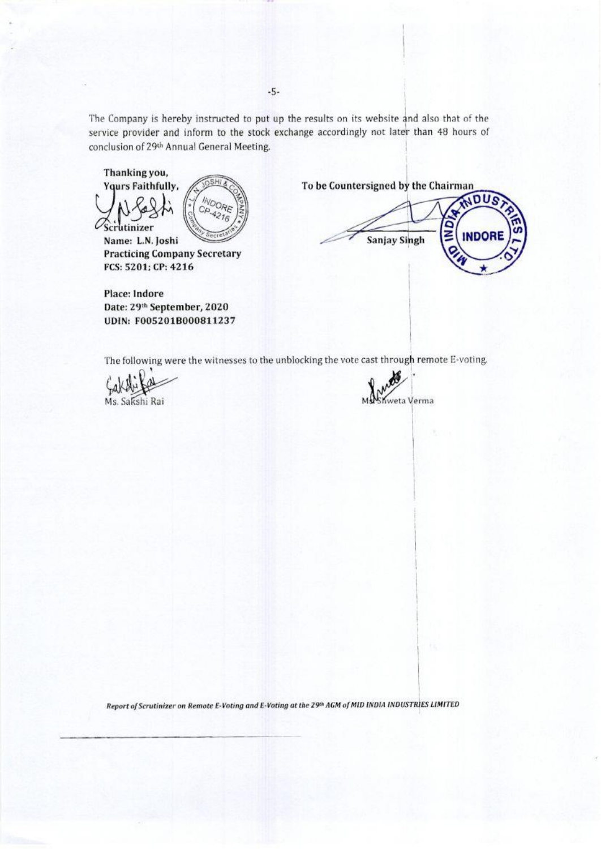The Company is hereby instructed to put up the results on its website and also that of the service provider and inform to the stock exchange accordingly not later than 48 hours of conclusion of 29th Annual General Meeting.

Thanking you, **Yours Faithfully,** 

Scrutinizer



Name: L.N. Joshi **Practicing Company Secretary** FCS: 5201; CP: 4216

**Place: Indore** Date: 29th September, 2020 UDIN: F005201B000811237 To be Countersigned by the Chairman

ADUS g **INDOR Sanjay Singh** 

The following were the witnesses to the unblocking the vote cast through remote E-voting.

Ms. Sakshi Rai



Report of Scrutinizer on Remote E-Voting and E-Voting at the 29th AGM of MID INDIA INDUSTRIES LIMITED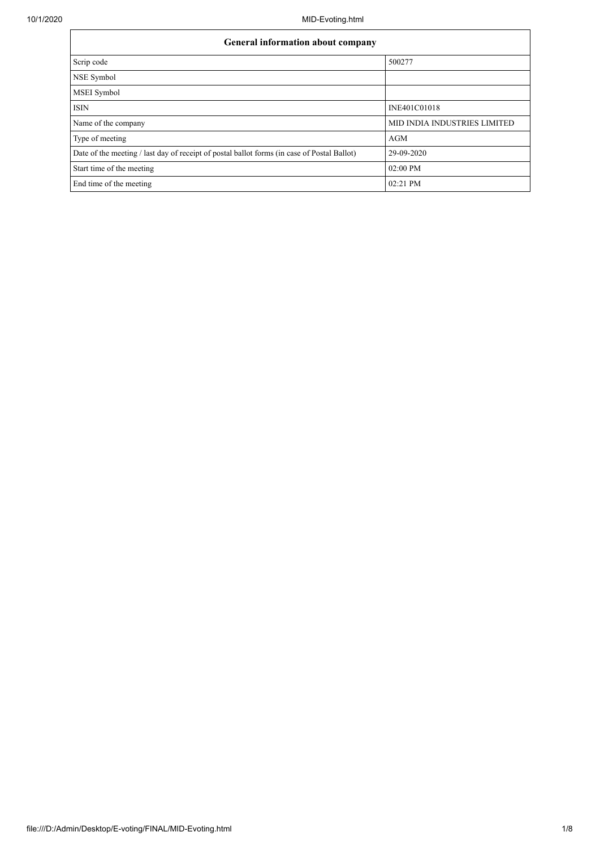| General information about company                                                           |                                     |  |  |  |  |  |
|---------------------------------------------------------------------------------------------|-------------------------------------|--|--|--|--|--|
| Scrip code                                                                                  | 500277                              |  |  |  |  |  |
| NSE Symbol                                                                                  |                                     |  |  |  |  |  |
| MSEI Symbol                                                                                 |                                     |  |  |  |  |  |
| <b>ISIN</b>                                                                                 | INE401C01018                        |  |  |  |  |  |
| Name of the company                                                                         | <b>MID INDIA INDUSTRIES LIMITED</b> |  |  |  |  |  |
| Type of meeting                                                                             | AGM                                 |  |  |  |  |  |
| Date of the meeting / last day of receipt of postal ballot forms (in case of Postal Ballot) | 29-09-2020                          |  |  |  |  |  |
| Start time of the meeting                                                                   | 02:00 PM                            |  |  |  |  |  |
| End time of the meeting                                                                     | 02:21 PM                            |  |  |  |  |  |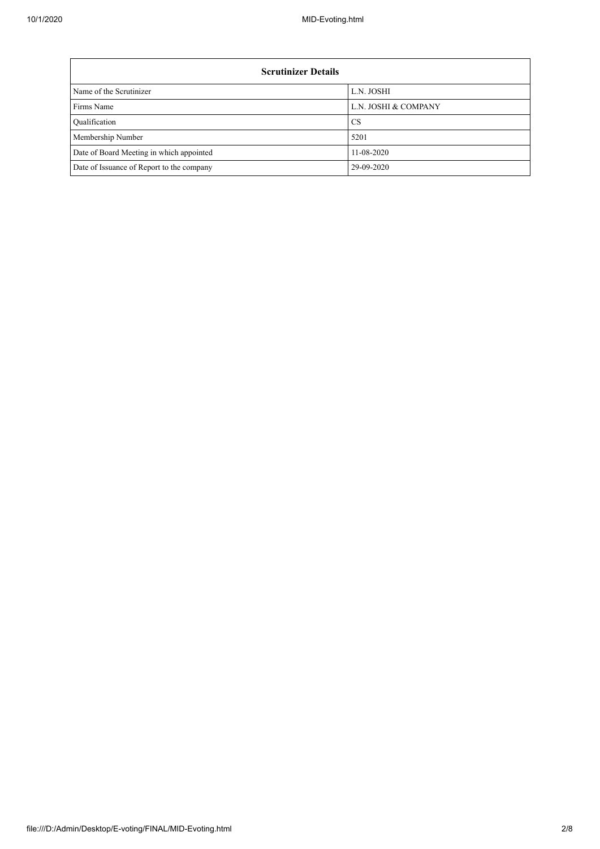| <b>Scrutinizer Details</b>                |                      |  |  |  |  |  |  |
|-------------------------------------------|----------------------|--|--|--|--|--|--|
| Name of the Scrutinizer                   | L.N. JOSHI           |  |  |  |  |  |  |
| <b>Firms Name</b>                         | L.N. JOSHI & COMPANY |  |  |  |  |  |  |
| <b>Qualification</b>                      | <b>CS</b>            |  |  |  |  |  |  |
| Membership Number                         | 5201                 |  |  |  |  |  |  |
| Date of Board Meeting in which appointed  | 11-08-2020           |  |  |  |  |  |  |
| Date of Issuance of Report to the company | 29-09-2020           |  |  |  |  |  |  |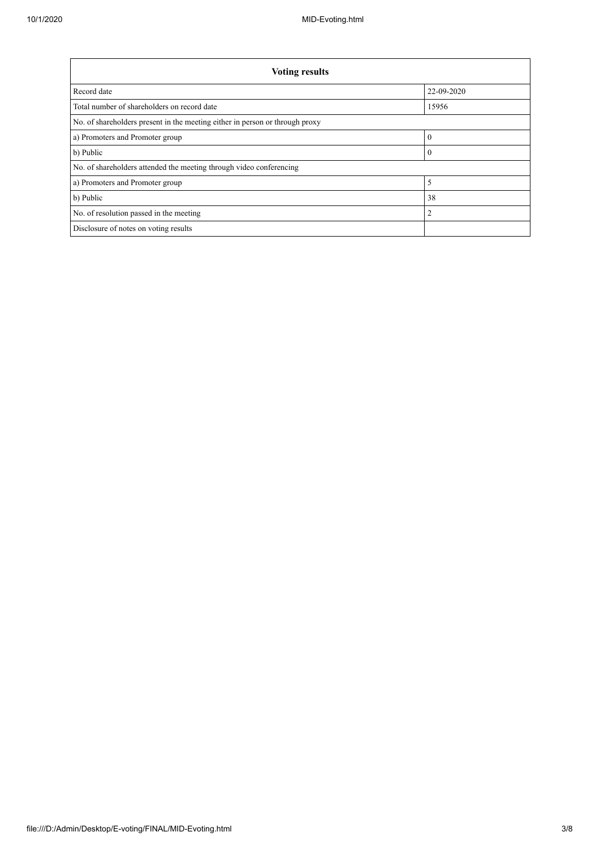| <b>Voting results</b>                                                        |            |  |  |  |  |  |
|------------------------------------------------------------------------------|------------|--|--|--|--|--|
| Record date                                                                  | 22-09-2020 |  |  |  |  |  |
| Total number of shareholders on record date<br>15956                         |            |  |  |  |  |  |
| No. of shareholders present in the meeting either in person or through proxy |            |  |  |  |  |  |
| a) Promoters and Promoter group                                              | $\theta$   |  |  |  |  |  |
| b) Public                                                                    | $\theta$   |  |  |  |  |  |
| No. of shareholders attended the meeting through video conferencing          |            |  |  |  |  |  |
| 5<br>a) Promoters and Promoter group                                         |            |  |  |  |  |  |
| b) Public<br>38                                                              |            |  |  |  |  |  |
| $\overline{2}$<br>No. of resolution passed in the meeting                    |            |  |  |  |  |  |
| Disclosure of notes on voting results                                        |            |  |  |  |  |  |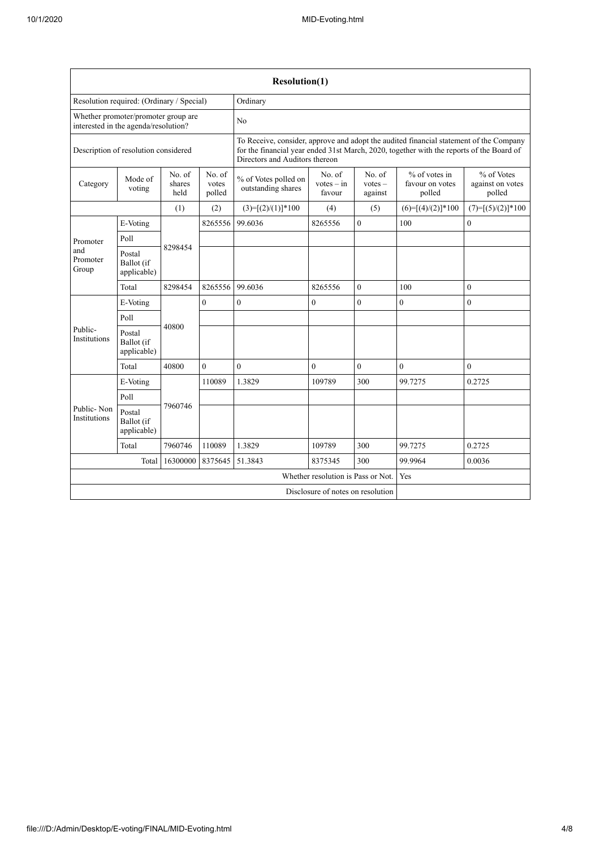| <b>Resolution(1)</b>                                                        |                                     |                          |                           |                                                                                                                                                                                                                      |                                  |                                |                                              |                                          |  |
|-----------------------------------------------------------------------------|-------------------------------------|--------------------------|---------------------------|----------------------------------------------------------------------------------------------------------------------------------------------------------------------------------------------------------------------|----------------------------------|--------------------------------|----------------------------------------------|------------------------------------------|--|
| Resolution required: (Ordinary / Special)                                   |                                     |                          |                           | Ordinary                                                                                                                                                                                                             |                                  |                                |                                              |                                          |  |
| Whether promoter/promoter group are<br>interested in the agenda/resolution? |                                     |                          |                           | No                                                                                                                                                                                                                   |                                  |                                |                                              |                                          |  |
| Description of resolution considered                                        |                                     |                          |                           | To Receive, consider, approve and adopt the audited financial statement of the Company<br>for the financial year ended 31st March, 2020, together with the reports of the Board of<br>Directors and Auditors thereon |                                  |                                |                                              |                                          |  |
| Category                                                                    | Mode of<br>voting                   | No. of<br>shares<br>held | No. of<br>votes<br>polled | % of Votes polled on<br>outstanding shares                                                                                                                                                                           | No. of<br>$votes - in$<br>favour | No. of<br>$votes -$<br>against | $%$ of votes in<br>favour on votes<br>polled | % of Votes<br>against on votes<br>polled |  |
|                                                                             |                                     | (1)                      | (2)                       | $(3)=[(2)/(1)]*100$                                                                                                                                                                                                  | (4)                              | (5)                            | $(6)=[(4)/(2)]*100$                          | $(7)=[(5)/(2)]*100$                      |  |
|                                                                             | E-Voting                            |                          | 8265556                   | 99.6036                                                                                                                                                                                                              | 8265556                          | $\overline{0}$                 | 100                                          | $\mathbf{0}$                             |  |
| Promoter                                                                    | Poll                                |                          |                           |                                                                                                                                                                                                                      |                                  |                                |                                              |                                          |  |
| and<br>Promoter<br>Group                                                    | Postal<br>Ballot (if<br>applicable) | 8298454                  |                           |                                                                                                                                                                                                                      |                                  |                                |                                              |                                          |  |
|                                                                             | Total                               | 8298454                  | 8265556                   | 99.6036                                                                                                                                                                                                              | 8265556                          | $\overline{0}$                 | 100                                          | $\mathbf{0}$                             |  |
|                                                                             | E-Voting                            |                          | $\theta$                  | $\boldsymbol{0}$                                                                                                                                                                                                     | $\mathbf{0}$                     | $\mathbf{0}$                   | $\mathbf{0}$                                 | $\mathbf{0}$                             |  |
|                                                                             | Poll                                | 40800                    |                           |                                                                                                                                                                                                                      |                                  |                                |                                              |                                          |  |
| Public-<br><b>Institutions</b>                                              | Postal<br>Ballot (if<br>applicable) |                          |                           |                                                                                                                                                                                                                      |                                  |                                |                                              |                                          |  |
|                                                                             | Total                               | 40800                    | $\theta$                  | $\theta$                                                                                                                                                                                                             | $\theta$                         | $\mathbf{0}$                   | $\mathbf{0}$                                 | $\theta$                                 |  |
|                                                                             | E-Voting                            |                          | 110089                    | 1.3829                                                                                                                                                                                                               | 109789                           | 300                            | 99.7275                                      | 0.2725                                   |  |
|                                                                             | Poll                                |                          |                           |                                                                                                                                                                                                                      |                                  |                                |                                              |                                          |  |
| Public-Non<br><b>Institutions</b>                                           | Postal<br>Ballot (if<br>applicable) | 7960746                  |                           |                                                                                                                                                                                                                      |                                  |                                |                                              |                                          |  |
|                                                                             | Total                               | 7960746                  | 110089                    | 1.3829                                                                                                                                                                                                               | 109789                           | 300                            | 99.7275                                      | 0.2725                                   |  |
|                                                                             | Total                               | 16300000                 | 8375645                   | 51.3843                                                                                                                                                                                                              | 8375345                          | 300                            | 99.9964                                      | 0.0036                                   |  |
| Whether resolution is Pass or Not.                                          |                                     |                          |                           |                                                                                                                                                                                                                      |                                  | Yes                            |                                              |                                          |  |
| Disclosure of notes on resolution                                           |                                     |                          |                           |                                                                                                                                                                                                                      |                                  |                                |                                              |                                          |  |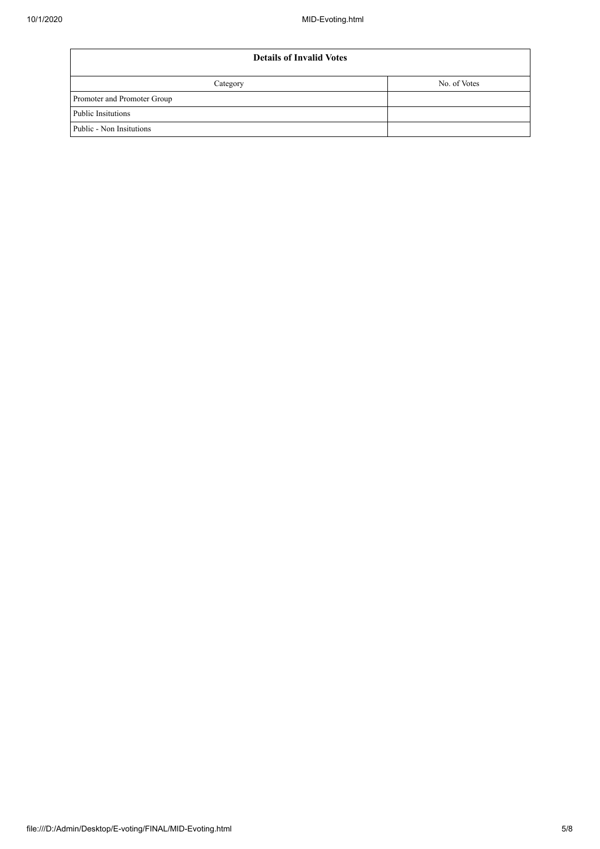| <b>Details of Invalid Votes</b> |              |  |  |  |  |
|---------------------------------|--------------|--|--|--|--|
| Category                        | No. of Votes |  |  |  |  |
| Promoter and Promoter Group     |              |  |  |  |  |
| Public Insitutions              |              |  |  |  |  |
| Public - Non Insitutions        |              |  |  |  |  |
|                                 |              |  |  |  |  |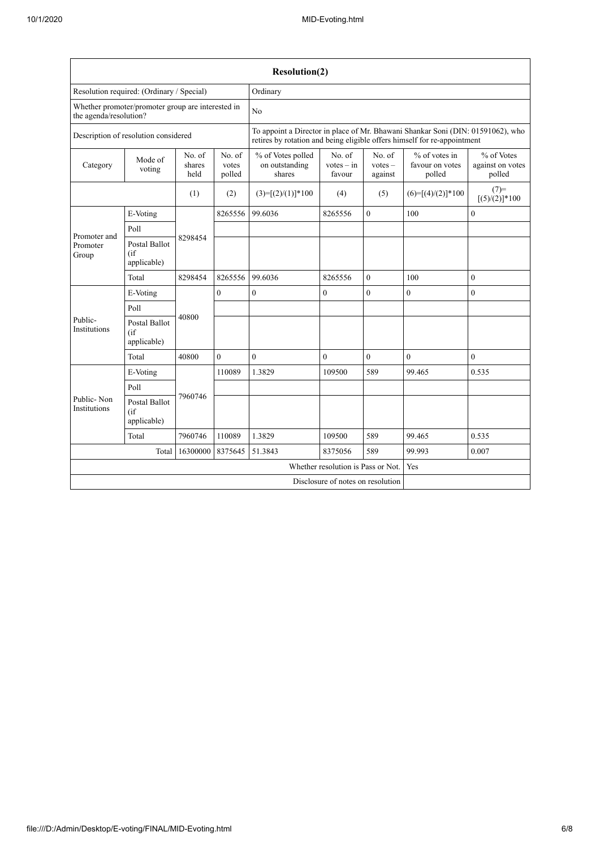|                                                                             |                                            |          |                           | <b>Resolution(2)</b>                          |                                                                                                                                                             |                                |                                              |                                          |  |
|-----------------------------------------------------------------------------|--------------------------------------------|----------|---------------------------|-----------------------------------------------|-------------------------------------------------------------------------------------------------------------------------------------------------------------|--------------------------------|----------------------------------------------|------------------------------------------|--|
| Resolution required: (Ordinary / Special)                                   |                                            |          |                           | Ordinary                                      |                                                                                                                                                             |                                |                                              |                                          |  |
| Whether promoter/promoter group are interested in<br>the agenda/resolution? |                                            |          | No                        |                                               |                                                                                                                                                             |                                |                                              |                                          |  |
| Description of resolution considered                                        |                                            |          |                           |                                               | To appoint a Director in place of Mr. Bhawani Shankar Soni (DIN: 01591062), who<br>retires by rotation and being eligible offers himself for re-appointment |                                |                                              |                                          |  |
| No. of<br>Mode of<br>Category<br>shares<br>voting<br>held                   |                                            |          | No. of<br>votes<br>polled | % of Votes polled<br>on outstanding<br>shares | No. of<br>$votes - in$<br>favour                                                                                                                            | No. of<br>$votes -$<br>against | $%$ of votes in<br>favour on votes<br>polled | % of Votes<br>against on votes<br>polled |  |
|                                                                             |                                            | (1)      | (2)                       | $(3)=[(2)/(1)]*100$                           | (4)                                                                                                                                                         | (5)                            | $(6)=[(4)/(2)]*100$                          | $(7)=$<br>$[(5)/(2)]$ *100               |  |
|                                                                             | E-Voting                                   |          | 8265556                   | 99.6036                                       | 8265556                                                                                                                                                     | $\mathbf{0}$                   | 100                                          | $\mathbf{0}$                             |  |
| Promoter and                                                                | Poll                                       |          |                           |                                               |                                                                                                                                                             |                                |                                              |                                          |  |
| Promoter<br>Group                                                           | Postal Ballot<br>(i f)<br>applicable)      | 8298454  |                           |                                               |                                                                                                                                                             |                                |                                              |                                          |  |
|                                                                             | Total                                      | 8298454  | 8265556                   | 99.6036                                       | 8265556                                                                                                                                                     | $\theta$                       | 100                                          | $\mathbf{0}$                             |  |
|                                                                             | E-Voting                                   |          | $\boldsymbol{0}$          | $\boldsymbol{0}$                              | $\boldsymbol{0}$                                                                                                                                            | $\boldsymbol{0}$               | $\boldsymbol{0}$                             | $\boldsymbol{0}$                         |  |
|                                                                             | Poll                                       |          |                           |                                               |                                                                                                                                                             |                                |                                              |                                          |  |
| Public-<br>Institutions                                                     | <b>Postal Ballot</b><br>(if<br>applicable) | 40800    |                           |                                               |                                                                                                                                                             |                                |                                              |                                          |  |
|                                                                             | Total                                      | 40800    | $\overline{0}$            | $\theta$                                      | $\mathbf{0}$                                                                                                                                                | $\theta$                       | $\theta$                                     | $\theta$                                 |  |
|                                                                             | E-Voting                                   |          | 110089                    | 1.3829                                        | 109500                                                                                                                                                      | 589                            | 99.465                                       | 0.535                                    |  |
|                                                                             | Poll                                       |          |                           |                                               |                                                                                                                                                             |                                |                                              |                                          |  |
| Public-Non<br><b>Institutions</b>                                           | <b>Postal Ballot</b><br>(if<br>applicable) | 7960746  |                           |                                               |                                                                                                                                                             |                                |                                              |                                          |  |
|                                                                             | Total                                      | 7960746  | 110089                    | 1.3829                                        | 109500                                                                                                                                                      | 589                            | 99.465                                       | 0.535                                    |  |
|                                                                             | Total                                      | 16300000 | 8375645                   | 51.3843                                       | 8375056                                                                                                                                                     | 589                            | 99.993                                       | 0.007                                    |  |
|                                                                             |                                            |          |                           |                                               | Whether resolution is Pass or Not.                                                                                                                          |                                |                                              | Yes                                      |  |
|                                                                             |                                            |          |                           | Disclosure of notes on resolution             |                                                                                                                                                             |                                |                                              |                                          |  |